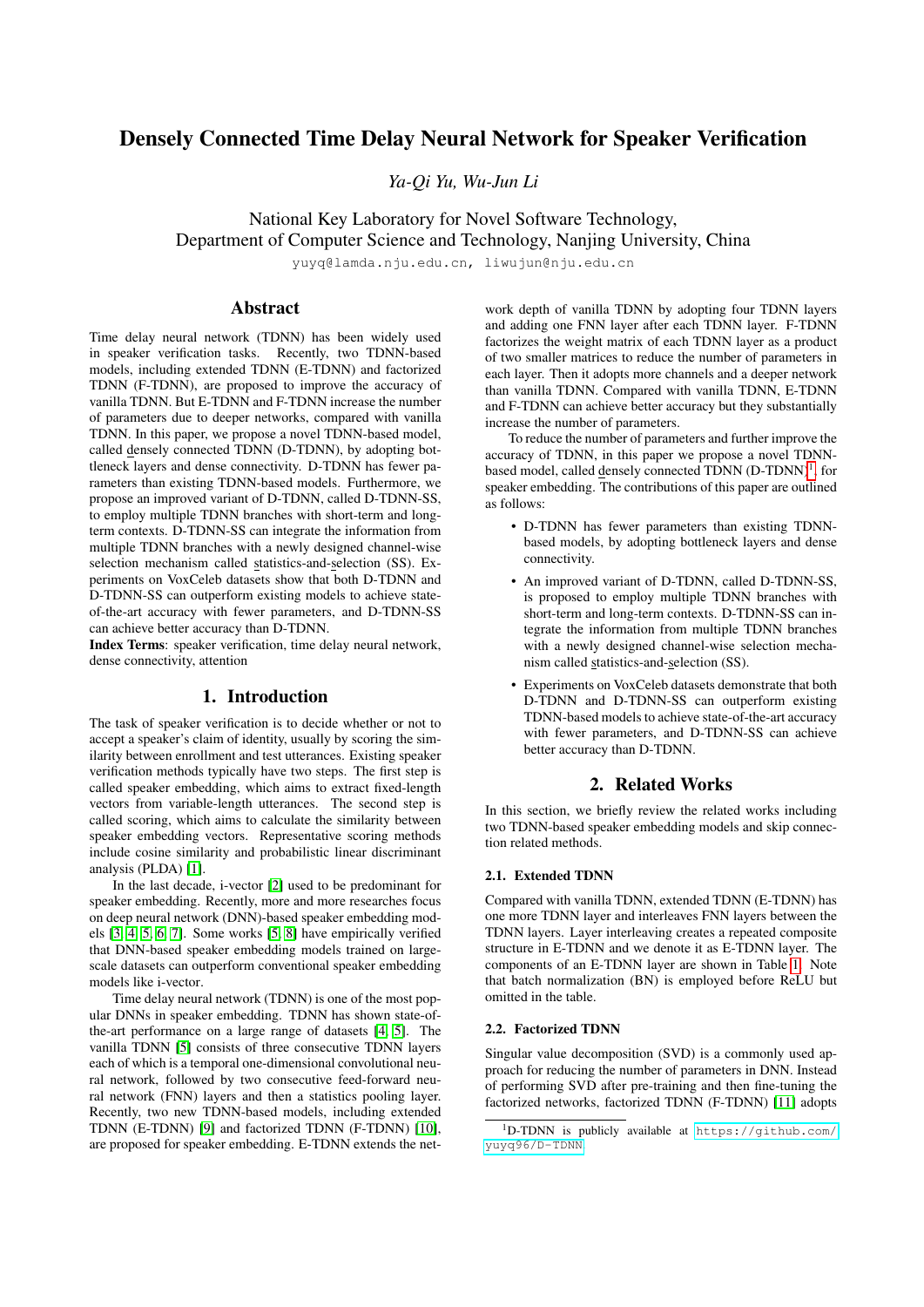# Densely Connected Time Delay Neural Network for Speaker Verification

*Ya-Qi Yu, Wu-Jun Li*

National Key Laboratory for Novel Software Technology, Department of Computer Science and Technology, Nanjing University, China

yuyq@lamda.nju.edu.cn, liwujun@nju.edu.cn

# Abstract

Time delay neural network (TDNN) has been widely used in speaker verification tasks. Recently, two TDNN-based models, including extended TDNN (E-TDNN) and factorized TDNN (F-TDNN), are proposed to improve the accuracy of vanilla TDNN. But E-TDNN and F-TDNN increase the number of parameters due to deeper networks, compared with vanilla TDNN. In this paper, we propose a novel TDNN-based model, called densely connected TDNN (D-TDNN), by adopting bottleneck layers and dense connectivity. D-TDNN has fewer parameters than existing TDNN-based models. Furthermore, we propose an improved variant of D-TDNN, called D-TDNN-SS, to employ multiple TDNN branches with short-term and longterm contexts. D-TDNN-SS can integrate the information from multiple TDNN branches with a newly designed channel-wise selection mechanism called statistics-and-selection (SS). Experiments on VoxCeleb datasets show that both D-TDNN and D-TDNN-SS can outperform existing models to achieve stateof-the-art accuracy with fewer parameters, and D-TDNN-SS can achieve better accuracy than D-TDNN.

Index Terms: speaker verification, time delay neural network, dense connectivity, attention

### 1. Introduction

The task of speaker verification is to decide whether or not to accept a speaker's claim of identity, usually by scoring the similarity between enrollment and test utterances. Existing speaker verification methods typically have two steps. The first step is called speaker embedding, which aims to extract fixed-length vectors from variable-length utterances. The second step is called scoring, which aims to calculate the similarity between speaker embedding vectors. Representative scoring methods include cosine similarity and probabilistic linear discriminant analysis (PLDA) [\[1\]](#page-4-0).

In the last decade, i-vector [\[2\]](#page-4-1) used to be predominant for speaker embedding. Recently, more and more researches focus on deep neural network (DNN)-based speaker embedding models [\[3,](#page-4-2) [4,](#page-4-3) [5,](#page-4-4) [6,](#page-4-5) [7\]](#page-4-6). Some works [\[5,](#page-4-4) [8\]](#page-4-7) have empirically verified that DNN-based speaker embedding models trained on largescale datasets can outperform conventional speaker embedding models like i-vector.

Time delay neural network (TDNN) is one of the most popular DNNs in speaker embedding. TDNN has shown state-ofthe-art performance on a large range of datasets [\[4,](#page-4-3) [5\]](#page-4-4). The vanilla TDNN [\[5\]](#page-4-4) consists of three consecutive TDNN layers each of which is a temporal one-dimensional convolutional neural network, followed by two consecutive feed-forward neural network (FNN) layers and then a statistics pooling layer. Recently, two new TDNN-based models, including extended TDNN (E-TDNN) [\[9\]](#page-4-8) and factorized TDNN (F-TDNN) [\[10\]](#page-4-9), are proposed for speaker embedding. E-TDNN extends the network depth of vanilla TDNN by adopting four TDNN layers and adding one FNN layer after each TDNN layer. F-TDNN factorizes the weight matrix of each TDNN layer as a product of two smaller matrices to reduce the number of parameters in each layer. Then it adopts more channels and a deeper network than vanilla TDNN. Compared with vanilla TDNN, E-TDNN and F-TDNN can achieve better accuracy but they substantially increase the number of parameters.

To reduce the number of parameters and further improve the accuracy of TDNN, in this paper we propose a novel TDNN-based model, called densely connected TDNN (D-TDNN)<sup>[1](#page-0-0)</sup>, for speaker embedding. The contributions of this paper are outlined as follows:

- D-TDNN has fewer parameters than existing TDNNbased models, by adopting bottleneck layers and dense connectivity.
- An improved variant of D-TDNN, called D-TDNN-SS, is proposed to employ multiple TDNN branches with short-term and long-term contexts. D-TDNN-SS can integrate the information from multiple TDNN branches with a newly designed channel-wise selection mechanism called statistics-and-selection (SS).
- Experiments on VoxCeleb datasets demonstrate that both D-TDNN and D-TDNN-SS can outperform existing TDNN-based models to achieve state-of-the-art accuracy with fewer parameters, and D-TDNN-SS can achieve better accuracy than D-TDNN.

## 2. Related Works

In this section, we briefly review the related works including two TDNN-based speaker embedding models and skip connection related methods.

### 2.1. Extended TDNN

Compared with vanilla TDNN, extended TDNN (E-TDNN) has one more TDNN layer and interleaves FNN layers between the TDNN layers. Layer interleaving creates a repeated composite structure in E-TDNN and we denote it as E-TDNN layer. The components of an E-TDNN layer are shown in Table [1.](#page-1-0) Note that batch normalization (BN) is employed before ReLU but omitted in the table.

### 2.2. Factorized TDNN

Singular value decomposition (SVD) is a commonly used approach for reducing the number of parameters in DNN. Instead of performing SVD after pre-training and then fine-tuning the factorized networks, factorized TDNN (F-TDNN) [\[11\]](#page-4-10) adopts

<span id="page-0-0"></span><sup>1</sup>D-TDNN is publicly available at [https://github.com/](https://github.com/yuyq96/D-TDNN) [yuyq96/D-TDNN](https://github.com/yuyq96/D-TDNN).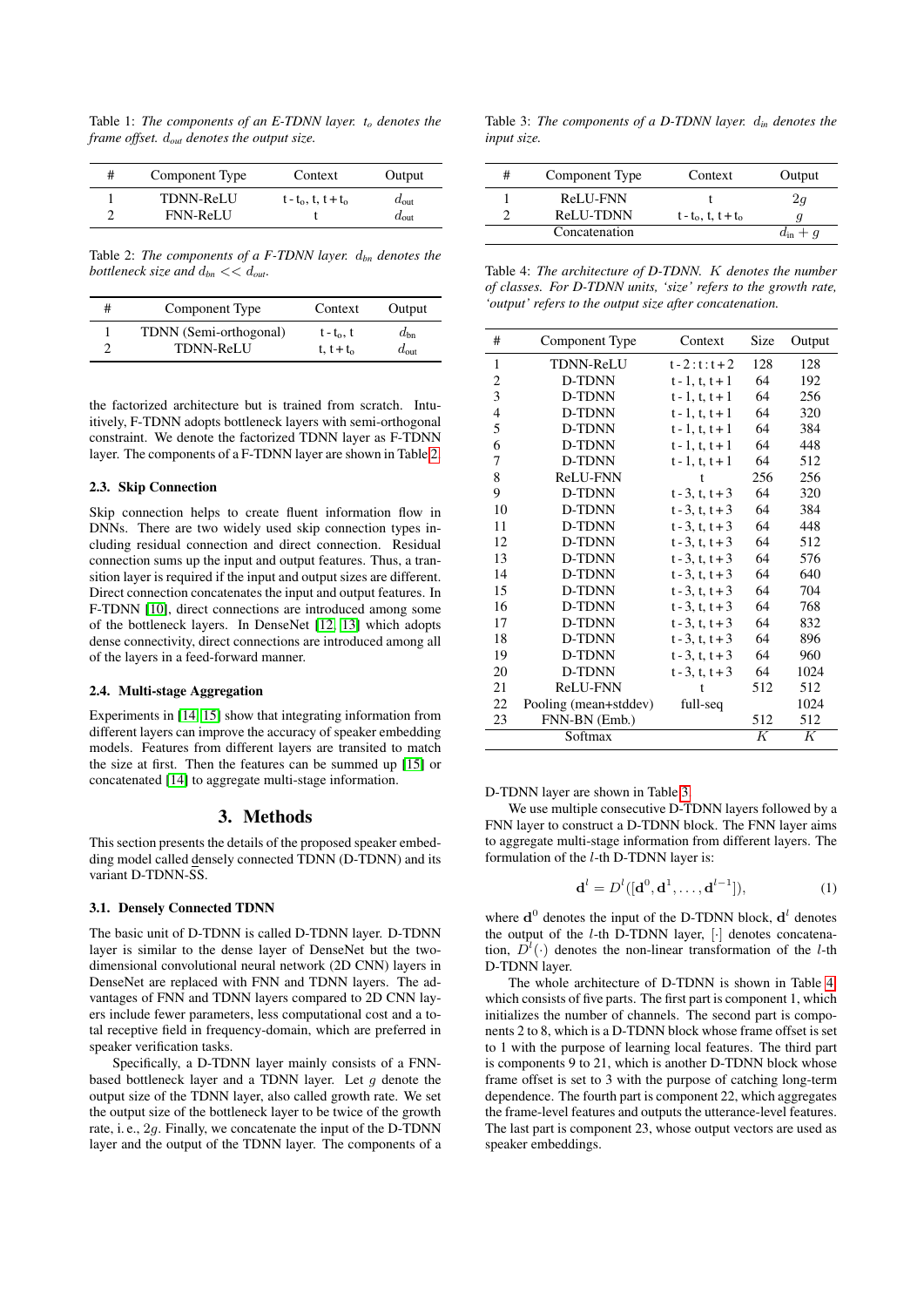<span id="page-1-0"></span>Table 1: *The components of an E-TDNN layer. t<sup>o</sup> denotes the frame offset.* d*out denotes the output size.*

| # | Component Type   | Context               | Output           |
|---|------------------|-----------------------|------------------|
|   | <b>TDNN-ReLU</b> | $t - t_0, t, t + t_0$ | $d_{\text{out}}$ |
| ◠ | <b>FNN-ReLU</b>  |                       | $a_{\text{out}}$ |

<span id="page-1-1"></span>Table 2: *The components of a F-TDNN layer.* d*bn denotes the bottleneck size and* d*bn* << d*out.*

| # | Component Type         | Context       | Output        |
|---|------------------------|---------------|---------------|
|   | TDNN (Semi-orthogonal) | $t - t_0$ , t | $d_{bn}$      |
|   | <b>TDNN-ReLU</b>       | t, $t + t_0$  | $d_{\rm out}$ |

the factorized architecture but is trained from scratch. Intuitively, F-TDNN adopts bottleneck layers with semi-orthogonal constraint. We denote the factorized TDNN layer as F-TDNN layer. The components of a F-TDNN layer are shown in Table [2.](#page-1-1)

#### 2.3. Skip Connection

Skip connection helps to create fluent information flow in DNNs. There are two widely used skip connection types including residual connection and direct connection. Residual connection sums up the input and output features. Thus, a transition layer is required if the input and output sizes are different. Direct connection concatenates the input and output features. In F-TDNN [\[10\]](#page-4-9), direct connections are introduced among some of the bottleneck layers. In DenseNet [\[12,](#page-4-11) [13\]](#page-4-12) which adopts dense connectivity, direct connections are introduced among all of the layers in a feed-forward manner.

#### 2.4. Multi-stage Aggregation

Experiments in [\[14,](#page-4-13) [15\]](#page-4-14) show that integrating information from different layers can improve the accuracy of speaker embedding models. Features from different layers are transited to match the size at first. Then the features can be summed up [\[15\]](#page-4-14) or concatenated [\[14\]](#page-4-13) to aggregate multi-stage information.

# 3. Methods

This section presents the details of the proposed speaker embedding model called densely connected TDNN (D-TDNN) and its variant D-TDNN-SS.

#### 3.1. Densely Connected TDNN

The basic unit of D-TDNN is called D-TDNN layer. D-TDNN layer is similar to the dense layer of DenseNet but the twodimensional convolutional neural network (2D CNN) layers in DenseNet are replaced with FNN and TDNN layers. The advantages of FNN and TDNN layers compared to 2D CNN layers include fewer parameters, less computational cost and a total receptive field in frequency-domain, which are preferred in speaker verification tasks.

Specifically, a D-TDNN layer mainly consists of a FNNbased bottleneck layer and a TDNN layer. Let  $q$  denote the output size of the TDNN layer, also called growth rate. We set the output size of the bottleneck layer to be twice of the growth rate, i. e., 2g. Finally, we concatenate the input of the D-TDNN layer and the output of the TDNN layer. The components of a

<span id="page-1-2"></span>Table 3: *The components of a D-TDNN layer.* d*in denotes the input size.*

| # | Component Type | Context               | Output           |
|---|----------------|-----------------------|------------------|
|   | ReLU-FNN       |                       | 2q               |
|   | ReLU-TDNN      | $t - t_0, t, t + t_0$ |                  |
|   | Concatenation  |                       | $d_{\rm in} + q$ |

<span id="page-1-3"></span>Table 4: *The architecture of D-TDNN.* K *denotes the number of classes. For D-TDNN units, 'size' refers to the growth rate, 'output' refers to the output size after concatenation.*

| #              | Component Type        | Context              | Size | Output |
|----------------|-----------------------|----------------------|------|--------|
| 1              | <b>TDNN-ReLU</b>      | $t - 2 : t : t + 2$  | 128  | 128    |
| 2              | D-TDNN                | $t - 1, t, t + 1$    | 64   | 192    |
| 3              | D-TDNN                | $t - 1, t, t + 1$    | 64   | 256    |
| $\overline{4}$ | D-TDNN                | $t - 1$ , t, $t + 1$ | 64   | 320    |
| 5              | D-TDNN                | $t - 1, t, t + 1$    | 64   | 384    |
| 6              | D-TDNN                | $t - 1, t, t + 1$    | 64   | 448    |
| 7              | D-TDNN                | $t - 1, t, t + 1$    | 64   | 512    |
| 8              | ReLU-FNN              | t                    | 256  | 256    |
| 9              | D-TDNN                | $t - 3, t, t + 3$    | 64   | 320    |
| 10             | D-TDNN                | $t - 3, t, t + 3$    | 64   | 384    |
| 11             | D-TDNN                | $t - 3$ , t, $t + 3$ | 64   | 448    |
| 12             | D-TDNN                | $t - 3$ , t, $t + 3$ | 64   | 512    |
| 13             | D-TDNN                | $t - 3$ , t, $t + 3$ | 64   | 576    |
| 14             | D-TDNN                | $t - 3$ , t, $t + 3$ | 64   | 640    |
| 15             | D-TDNN                | $t - 3$ , t, $t + 3$ | 64   | 704    |
| 16             | D-TDNN                | $t - 3$ , t, $t + 3$ | 64   | 768    |
| 17             | D-TDNN                | $t - 3$ , t, $t + 3$ | 64   | 832    |
| 18             | D-TDNN                | $t - 3$ , t, $t + 3$ | 64   | 896    |
| 19             | D-TDNN                | $t - 3$ , t, $t + 3$ | 64   | 960    |
| 20             | D-TDNN                | $t - 3$ , t, $t + 3$ | 64   | 1024   |
| 21             | ReLU-FNN              | t                    | 512  | 512    |
| 22             | Pooling (mean+stddev) | full-seq             |      | 1024   |
| 23             | FNN-BN (Emb.)         |                      | 512  | 512    |
|                | Softmax               |                      | K    | K      |

D-TDNN layer are shown in Table [3.](#page-1-2)

We use multiple consecutive D-TDNN layers followed by a FNN layer to construct a D-TDNN block. The FNN layer aims to aggregate multi-stage information from different layers. The formulation of the l-th D-TDNN layer is:

$$
\mathbf{d}^{l} = D^{l}([\mathbf{d}^{0}, \mathbf{d}^{1}, \dots, \mathbf{d}^{l-1}]), \tag{1}
$$

where  $\mathbf{d}^0$  denotes the input of the D-TDNN block,  $\mathbf{d}^l$  denotes the output of the l-th D-TDNN layer, [·] denotes concatenation,  $D^{l}(\cdot)$  denotes the non-linear transformation of the *l*-th D-TDNN layer.

The whole architecture of D-TDNN is shown in Table [4,](#page-1-3) which consists of five parts. The first part is component 1, which initializes the number of channels. The second part is components 2 to 8, which is a D-TDNN block whose frame offset is set to 1 with the purpose of learning local features. The third part is components 9 to 21, which is another D-TDNN block whose frame offset is set to 3 with the purpose of catching long-term dependence. The fourth part is component 22, which aggregates the frame-level features and outputs the utterance-level features. The last part is component 23, whose output vectors are used as speaker embeddings.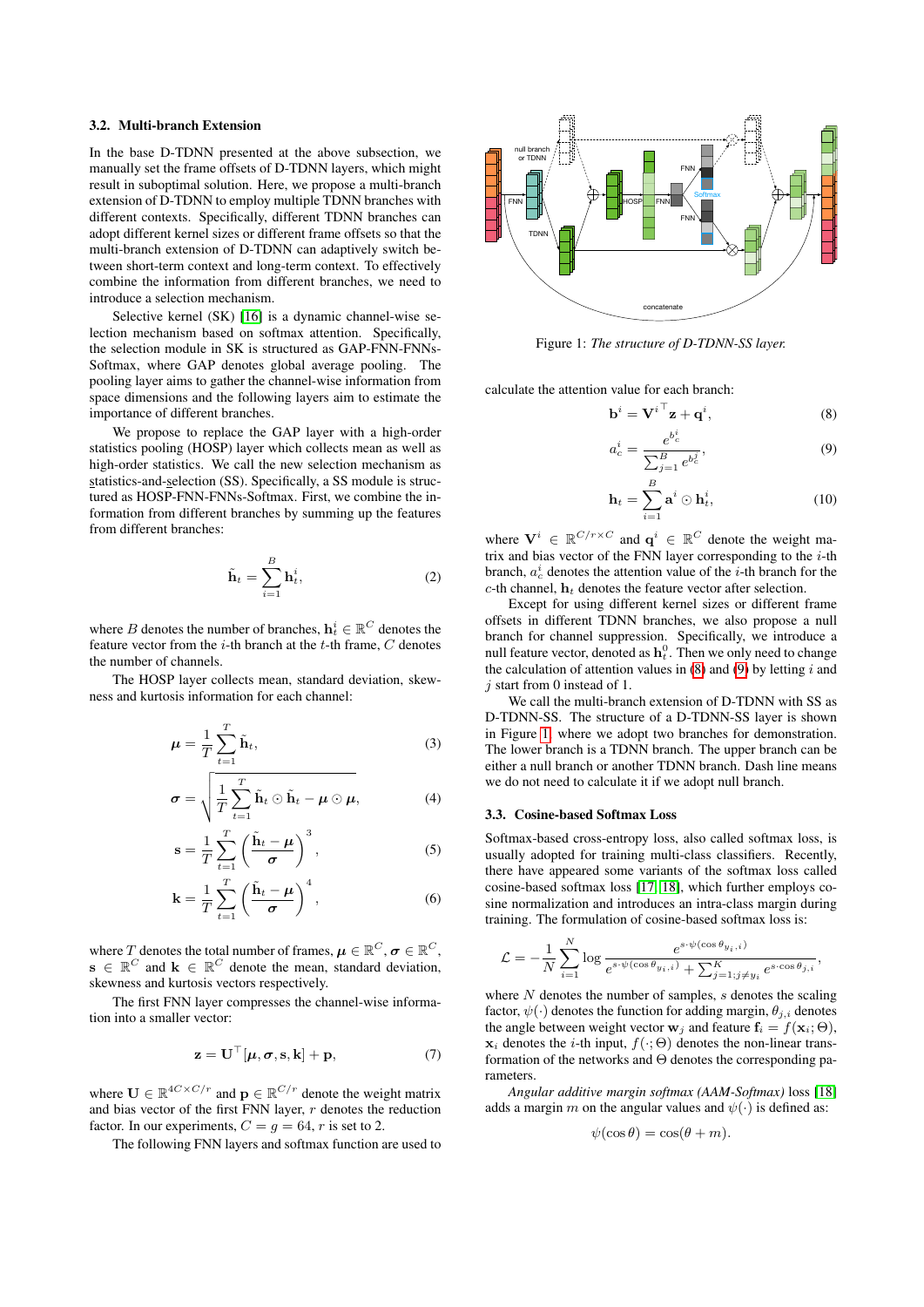### 3.2. Multi-branch Extension

In the base D-TDNN presented at the above subsection, we manually set the frame offsets of D-TDNN layers, which might result in suboptimal solution. Here, we propose a multi-branch extension of D-TDNN to employ multiple TDNN branches with different contexts. Specifically, different TDNN branches can adopt different kernel sizes or different frame offsets so that the multi-branch extension of D-TDNN can adaptively switch between short-term context and long-term context. To effectively combine the information from different branches, we need to introduce a selection mechanism.

Selective kernel (SK) [\[16\]](#page-4-15) is a dynamic channel-wise selection mechanism based on softmax attention. Specifically, the selection module in SK is structured as GAP-FNN-FNNs-Softmax, where GAP denotes global average pooling. The pooling layer aims to gather the channel-wise information from space dimensions and the following layers aim to estimate the importance of different branches.

We propose to replace the GAP layer with a high-order statistics pooling (HOSP) layer which collects mean as well as high-order statistics. We call the new selection mechanism as statistics-and-selection (SS). Specifically, a SS module is structured as HOSP-FNN-FNNs-Softmax. First, we combine the information from different branches by summing up the features from different branches:

$$
\tilde{\mathbf{h}}_t = \sum_{i=1}^B \mathbf{h}_t^i, \tag{2}
$$

where  $B$  denotes the number of branches,  $\mathbf{h}_t^i \in \mathbb{R}^{C}$  denotes the feature vector from the *i*-th branch at the *t*-th frame,  $C$  denotes the number of channels.

The HOSP layer collects mean, standard deviation, skewness and kurtosis information for each channel:

$$
\mu = \frac{1}{T} \sum_{t=1}^{T} \tilde{\mathbf{h}}_t,\tag{3}
$$

$$
\boldsymbol{\sigma} = \sqrt{\frac{1}{T} \sum_{t=1}^{T} \tilde{\mathbf{h}}_t \odot \tilde{\mathbf{h}}_t - \boldsymbol{\mu} \odot \boldsymbol{\mu}}, \qquad (4)
$$

$$
\mathbf{s} = \frac{1}{T} \sum_{t=1}^{T} \left( \frac{\tilde{\mathbf{h}}_t - \boldsymbol{\mu}}{\sigma} \right)^3, \tag{5}
$$

$$
\mathbf{k} = \frac{1}{T} \sum_{t=1}^{T} \left( \frac{\tilde{\mathbf{h}}_t - \boldsymbol{\mu}}{\sigma} \right)^4, \tag{6}
$$

where  $T$  denotes the total number of frames,  $\boldsymbol{\mu} \in \mathbb{R}^C$ ,  $\boldsymbol{\sigma} \in \mathbb{R}^C,$  $\mathbf{s} \in \mathbb{R}^C$  and  $\mathbf{k} \in \mathbb{R}^C$  denote the mean, standard deviation, skewness and kurtosis vectors respectively.

The first FNN layer compresses the channel-wise information into a smaller vector:

$$
\mathbf{z} = \mathbf{U}^{\top}[\boldsymbol{\mu}, \boldsymbol{\sigma}, \mathbf{s}, \mathbf{k}] + \mathbf{p}, \tag{7}
$$

where  $\mathbf{U} \in \mathbb{R}^{4C \times C/r}$  and  $\mathbf{p} \in \mathbb{R}^{C/r}$  denote the weight matrix and bias vector of the first FNN layer,  $r$  denotes the reduction factor. In our experiments,  $C = g = 64$ , r is set to 2.

The following FNN layers and softmax function are used to

<span id="page-2-2"></span>

Figure 1: *The structure of D-TDNN-SS layer.*

calculate the attention value for each branch:

$$
\mathbf{b}^{i} = \mathbf{V}^{i \top} \mathbf{z} + \mathbf{q}^{i}, \tag{8}
$$

<span id="page-2-1"></span><span id="page-2-0"></span>
$$
a_c^i = \frac{e^{b_c^i}}{\sum_{j=1}^B e^{b_c^j}},\tag{9}
$$

$$
\mathbf{h}_t = \sum_{i=1}^B \mathbf{a}^i \odot \mathbf{h}_t^i, \tag{10}
$$

where  $\mathbf{V}^i \in \mathbb{R}^{C/r \times C}$  and  $\mathbf{q}^i \in \mathbb{R}^{C}$  denote the weight matrix and bias vector of the FNN layer corresponding to the  $i$ -th branch,  $a_c^i$  denotes the attention value of the *i*-th branch for the c-th channel,  $\mathbf{h}_t$  denotes the feature vector after selection.

Except for using different kernel sizes or different frame offsets in different TDNN branches, we also propose a null branch for channel suppression. Specifically, we introduce a null feature vector, denoted as  $\mathbf{h}_t^0$ . Then we only need to change the calculation of attention values in  $(8)$  and  $(9)$  by letting i and  $j$  start from 0 instead of 1.

We call the multi-branch extension of D-TDNN with SS as D-TDNN-SS. The structure of a D-TDNN-SS layer is shown in Figure [1,](#page-2-2) where we adopt two branches for demonstration. The lower branch is a TDNN branch. The upper branch can be either a null branch or another TDNN branch. Dash line means we do not need to calculate it if we adopt null branch.

### 3.3. Cosine-based Softmax Loss

Softmax-based cross-entropy loss, also called softmax loss, is usually adopted for training multi-class classifiers. Recently, there have appeared some variants of the softmax loss called cosine-based softmax loss [\[17,](#page-4-16) [18\]](#page-4-17), which further employs cosine normalization and introduces an intra-class margin during training. The formulation of cosine-based softmax loss is:

$$
\mathcal{L} = -\frac{1}{N} \sum_{i=1}^{N} \log \frac{e^{s \cdot \psi(\cos \theta_{y_i, i})}}{e^{s \cdot \psi(\cos \theta_{y_i, i})} + \sum_{j=1; j \neq y_i}^{K} e^{s \cdot \cos \theta_{j, i}}},
$$

where  $N$  denotes the number of samples,  $s$  denotes the scaling factor,  $\psi(\cdot)$  denotes the function for adding margin,  $\theta_{i,i}$  denotes the angle between weight vector  $\mathbf{w}_i$  and feature  $\mathbf{f}_i = f(\mathbf{x}_i; \Theta)$ ,  $x_i$  denotes the *i*-th input,  $f(\cdot; \Theta)$  denotes the non-linear transformation of the networks and  $\Theta$  denotes the corresponding parameters.

*Angular additive margin softmax (AAM-Softmax)* loss [\[18\]](#page-4-17) adds a margin m on the angular values and  $\psi(\cdot)$  is defined as:

$$
\psi(\cos \theta) = \cos(\theta + m).
$$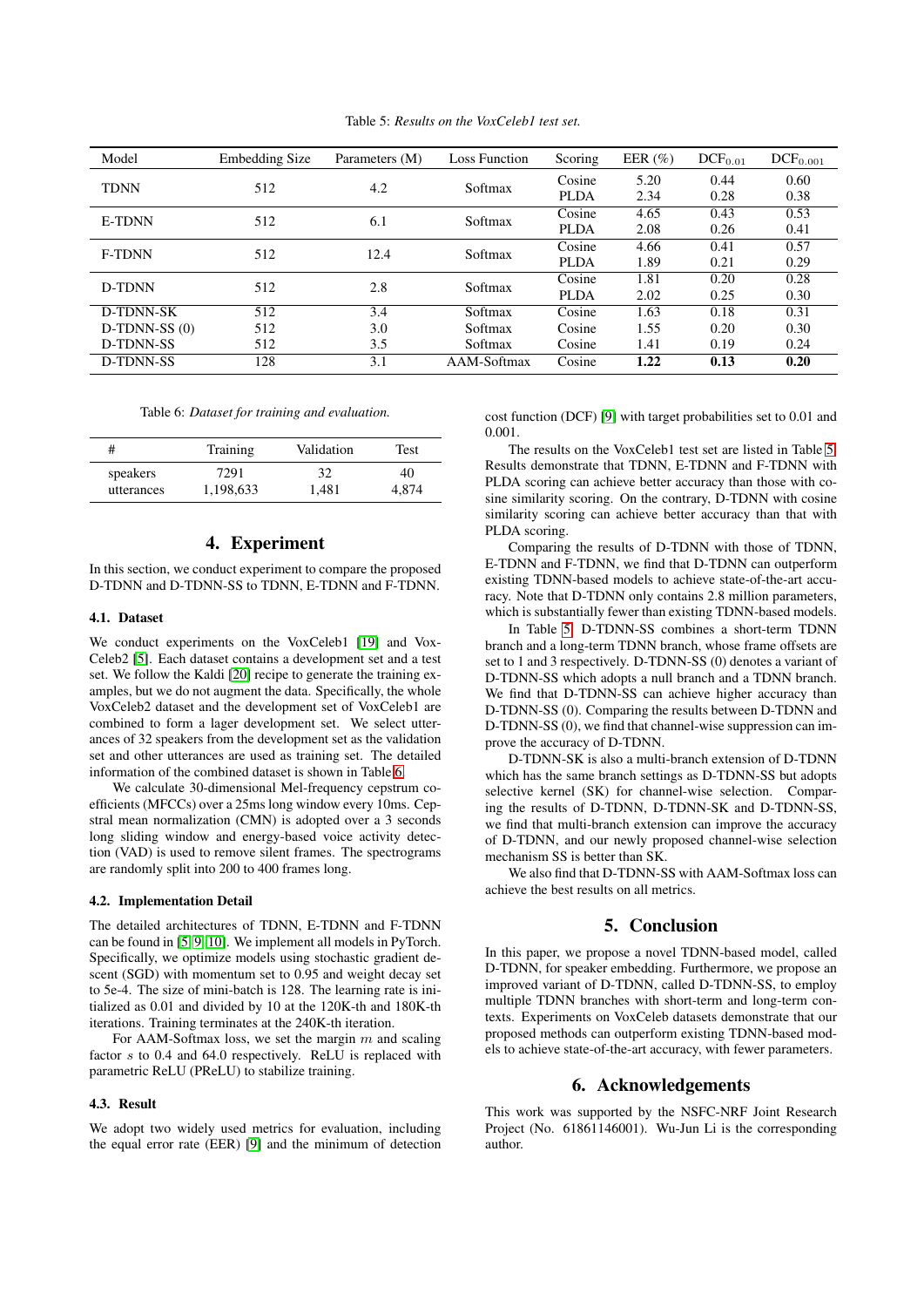Table 5: *Results on the VoxCeleb1 test set.*

<span id="page-3-1"></span>

| Model          | <b>Embedding Size</b> | Parameters (M) | <b>Loss Function</b> | Scoring     | EER $(\% )$ | DCF <sub>0.01</sub> | $DCF_{0.001}$ |
|----------------|-----------------------|----------------|----------------------|-------------|-------------|---------------------|---------------|
| <b>TDNN</b>    | 512                   |                | 4.2<br>Softmax       | Cosine      | 5.20        | 0.44                | 0.60          |
|                |                       |                |                      | <b>PLDA</b> | 2.34        | 0.28                | 0.38          |
| <b>E-TDNN</b>  | 512<br>6.1            |                | Softmax              | Cosine      | 4.65        | 0.43                | 0.53          |
|                |                       |                |                      | <b>PLDA</b> | 2.08        | 0.26                | 0.41          |
| <b>F-TDNN</b>  | 512<br>12.4           |                | Softmax              | Cosine      | 4.66        | 0.41                | 0.57          |
|                |                       |                |                      | <b>PLDA</b> | 1.89        | 0.21                | 0.29          |
| D-TDNN         | 512<br>2.8            |                | Softmax              | Cosine      | 1.81        | 0.20                | 0.28          |
|                |                       |                |                      | <b>PLDA</b> | 2.02        | 0.25                | 0.30          |
| D-TDNN-SK      | 512                   | 3.4            | Softmax              | Cosine      | 1.63        | 0.18                | 0.31          |
| $D-TDNN-SS(0)$ | 512                   | 3.0            | Softmax              | Cosine      | 1.55        | 0.20                | 0.30          |
| D-TDNN-SS      | 512                   | 3.5            | Softmax              | Cosine      | 1.41        | 0.19                | 0.24          |
| D-TDNN-SS      | 128                   | 3.1            | AAM-Softmax          | Cosine      | 1.22        | 0.13                | 0.20          |

Table 6: *Dataset for training and evaluation.*

<span id="page-3-0"></span>

| #          | Training  | Validation | Test  |
|------------|-----------|------------|-------|
| speakers   | 7291      | 32         | 40    |
| utterances | 1,198,633 | 1.481      | 4.874 |

# 4. Experiment

In this section, we conduct experiment to compare the proposed D-TDNN and D-TDNN-SS to TDNN, E-TDNN and F-TDNN.

### 4.1. Dataset

We conduct experiments on the VoxCeleb1 [\[19\]](#page-4-18) and Vox-Celeb2 [\[5\]](#page-4-4). Each dataset contains a development set and a test set. We follow the Kaldi [\[20\]](#page-4-19) recipe to generate the training examples, but we do not augment the data. Specifically, the whole VoxCeleb2 dataset and the development set of VoxCeleb1 are combined to form a lager development set. We select utterances of 32 speakers from the development set as the validation set and other utterances are used as training set. The detailed information of the combined dataset is shown in Table [6.](#page-3-0)

We calculate 30-dimensional Mel-frequency cepstrum coefficients (MFCCs) over a 25ms long window every 10ms. Cepstral mean normalization (CMN) is adopted over a 3 seconds long sliding window and energy-based voice activity detection (VAD) is used to remove silent frames. The spectrograms are randomly split into 200 to 400 frames long.

#### 4.2. Implementation Detail

The detailed architectures of TDNN, E-TDNN and F-TDNN can be found in [\[5,](#page-4-4) [9,](#page-4-8) [10\]](#page-4-9). We implement all models in PyTorch. Specifically, we optimize models using stochastic gradient descent (SGD) with momentum set to 0.95 and weight decay set to 5e-4. The size of mini-batch is 128. The learning rate is initialized as 0.01 and divided by 10 at the 120K-th and 180K-th iterations. Training terminates at the 240K-th iteration.

For AAM-Softmax loss, we set the margin  $m$  and scaling factor s to 0.4 and 64.0 respectively. ReLU is replaced with parametric ReLU (PReLU) to stabilize training.

#### 4.3. Result

We adopt two widely used metrics for evaluation, including the equal error rate (EER) [\[9\]](#page-4-8) and the minimum of detection cost function (DCF) [\[9\]](#page-4-8) with target probabilities set to 0.01 and 0.001.

The results on the VoxCeleb1 test set are listed in Table [5.](#page-3-1) Results demonstrate that TDNN, E-TDNN and F-TDNN with PLDA scoring can achieve better accuracy than those with cosine similarity scoring. On the contrary, D-TDNN with cosine similarity scoring can achieve better accuracy than that with PLDA scoring.

Comparing the results of D-TDNN with those of TDNN, E-TDNN and F-TDNN, we find that D-TDNN can outperform existing TDNN-based models to achieve state-of-the-art accuracy. Note that D-TDNN only contains 2.8 million parameters, which is substantially fewer than existing TDNN-based models.

In Table [5,](#page-3-1) D-TDNN-SS combines a short-term TDNN branch and a long-term TDNN branch, whose frame offsets are set to 1 and 3 respectively. D-TDNN-SS (0) denotes a variant of D-TDNN-SS which adopts a null branch and a TDNN branch. We find that D-TDNN-SS can achieve higher accuracy than D-TDNN-SS (0). Comparing the results between D-TDNN and D-TDNN-SS (0), we find that channel-wise suppression can improve the accuracy of D-TDNN.

D-TDNN-SK is also a multi-branch extension of D-TDNN which has the same branch settings as D-TDNN-SS but adopts selective kernel (SK) for channel-wise selection. Comparing the results of D-TDNN, D-TDNN-SK and D-TDNN-SS, we find that multi-branch extension can improve the accuracy of D-TDNN, and our newly proposed channel-wise selection mechanism SS is better than SK.

We also find that D-TDNN-SS with AAM-Softmax loss can achieve the best results on all metrics.

# 5. Conclusion

In this paper, we propose a novel TDNN-based model, called D-TDNN, for speaker embedding. Furthermore, we propose an improved variant of D-TDNN, called D-TDNN-SS, to employ multiple TDNN branches with short-term and long-term contexts. Experiments on VoxCeleb datasets demonstrate that our proposed methods can outperform existing TDNN-based models to achieve state-of-the-art accuracy, with fewer parameters.

### 6. Acknowledgements

This work was supported by the NSFC-NRF Joint Research Project (No. 61861146001). Wu-Jun Li is the corresponding author.